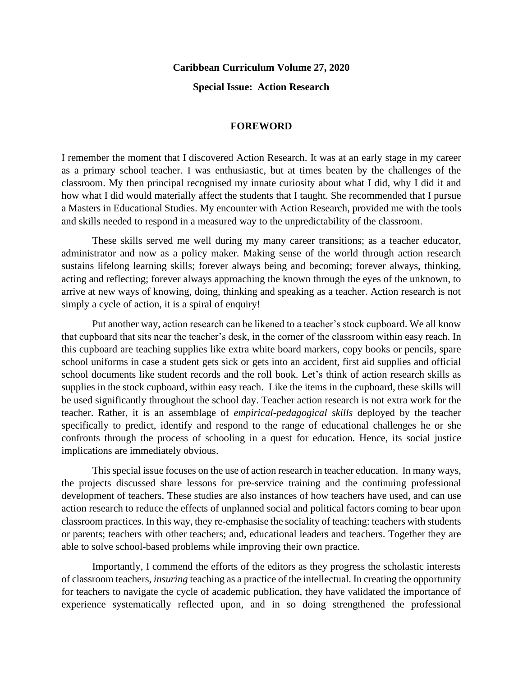## **Caribbean Curriculum Volume 27, 2020**

**Special Issue: Action Research**

## **FOREWORD**

I remember the moment that I discovered Action Research. It was at an early stage in my career as a primary school teacher. I was enthusiastic, but at times beaten by the challenges of the classroom. My then principal recognised my innate curiosity about what I did, why I did it and how what I did would materially affect the students that I taught. She recommended that I pursue a Masters in Educational Studies. My encounter with Action Research, provided me with the tools and skills needed to respond in a measured way to the unpredictability of the classroom.

These skills served me well during my many career transitions; as a teacher educator, administrator and now as a policy maker. Making sense of the world through action research sustains lifelong learning skills; forever always being and becoming; forever always, thinking, acting and reflecting; forever always approaching the known through the eyes of the unknown, to arrive at new ways of knowing, doing, thinking and speaking as a teacher. Action research is not simply a cycle of action, it is a spiral of enquiry!

Put another way, action research can be likened to a teacher's stock cupboard. We all know that cupboard that sits near the teacher's desk, in the corner of the classroom within easy reach. In this cupboard are teaching supplies like extra white board markers, copy books or pencils, spare school uniforms in case a student gets sick or gets into an accident, first aid supplies and official school documents like student records and the roll book. Let's think of action research skills as supplies in the stock cupboard, within easy reach. Like the items in the cupboard, these skills will be used significantly throughout the school day. Teacher action research is not extra work for the teacher. Rather, it is an assemblage of *empirical-pedagogical skills* deployed by the teacher specifically to predict, identify and respond to the range of educational challenges he or she confronts through the process of schooling in a quest for education. Hence, its social justice implications are immediately obvious.

This special issue focuses on the use of action research in teacher education. In many ways, the projects discussed share lessons for pre-service training and the continuing professional development of teachers. These studies are also instances of how teachers have used, and can use action research to reduce the effects of unplanned social and political factors coming to bear upon classroom practices. In this way, they re-emphasise the sociality of teaching: teachers with students or parents; teachers with other teachers; and, educational leaders and teachers. Together they are able to solve school-based problems while improving their own practice.

Importantly, I commend the efforts of the editors as they progress the scholastic interests of classroom teachers, *insuring* teaching as a practice of the intellectual. In creating the opportunity for teachers to navigate the cycle of academic publication, they have validated the importance of experience systematically reflected upon, and in so doing strengthened the professional